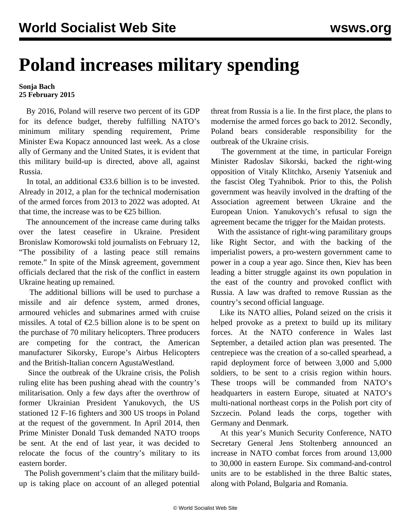## **Poland increases military spending**

## **Sonja Bach 25 February 2015**

 By 2016, Poland will reserve two percent of its GDP for its defence budget, thereby fulfilling NATO's minimum military spending requirement, Prime Minister Ewa Kopacz announced last week. As a close ally of Germany and the United States, it is evident that this military build-up is directed, above all, against Russia.

In total, an additional  $\epsilon$ 33.6 billion is to be invested. Already in 2012, a plan for the technical modernisation of the armed forces from 2013 to 2022 was adopted. At that time, the increase was to be  $\epsilon$ 25 billion.

 The announcement of the increase came during talks over the latest ceasefire in Ukraine. President Bronislaw Komorowski told journalists on February 12, "The possibility of a lasting peace still remains remote." In spite of the Minsk agreement, government officials declared that the risk of the conflict in eastern Ukraine heating up remained.

 The additional billions will be used to purchase a missile and air defence system, armed drones, armoured vehicles and submarines armed with cruise missiles. A total of  $\epsilon$ 2.5 billion alone is to be spent on the purchase of 70 military helicopters. Three producers are competing for the contract, the American manufacturer Sikorsky, Europe's Airbus Helicopters and the British-Italian concern AgustaWestland.

 Since the outbreak of the Ukraine crisis, the Polish ruling elite has been pushing ahead with the country's militarisation. Only a few days after the overthrow of former Ukrainian President Yanukovych, the US stationed 12 F-16 fighters and 300 US troops in Poland at the request of the government. In April 2014, then Prime Minister Donald Tusk demanded NATO troops be sent. At the end of last year, it was decided to relocate the focus of the country's military to its eastern border.

 The Polish government's claim that the military buildup is taking place on account of an alleged potential threat from Russia is a lie. In the first place, the plans to modernise the armed forces go back to 2012. Secondly, Poland bears considerable responsibility for the outbreak of the Ukraine crisis.

 The government at the time, in particular Foreign Minister Radoslav Sikorski, backed the right-wing opposition of Vitaly Klitchko, Arseniy Yatseniuk and the fascist Oleg Tyahnibok. Prior to this, the Polish government was heavily involved in the drafting of the Association agreement between Ukraine and the European Union. Yanukovych's refusal to sign the agreement became the trigger for the Maidan protests.

 With the assistance of right-wing paramilitary groups like Right Sector, and with the backing of the imperialist powers, a pro-western government came to power in a coup a year ago. Since then, Kiev has been leading a bitter struggle against its own population in the east of the country and provoked conflict with Russia. A law was drafted to remove Russian as the country's second official language.

 Like its NATO allies, Poland seized on the crisis it helped provoke as a pretext to build up its military forces. At the NATO conference in Wales last September, a detailed action plan was presented. The centrepiece was the creation of a so-called spearhead, a rapid deployment force of between 3,000 and 5,000 soldiers, to be sent to a crisis region within hours. These troops will be commanded from NATO's headquarters in eastern Europe, situated at NATO's multi-national northeast corps in the Polish port city of Szczecin. Poland leads the corps, together with Germany and Denmark.

 At this year's Munich Security Conference, NATO Secretary General Jens Stoltenberg announced an increase in NATO combat forces from around 13,000 to 30,000 in eastern Europe. Six command-and-control units are to be established in the three Baltic states, along with Poland, Bulgaria and Romania.